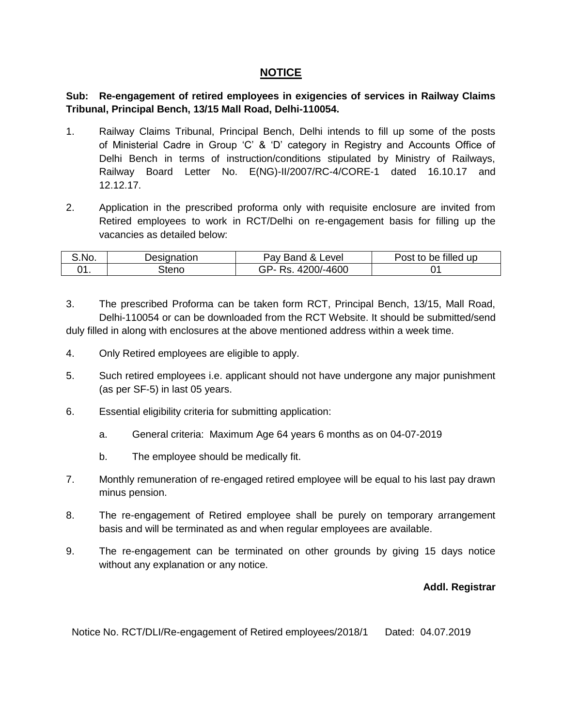#### **NOTICE**

**Sub: Re-engagement of retired employees in exigencies of services in Railway Claims Tribunal, Principal Bench, 13/15 Mall Road, Delhi-110054.**

- 1. Railway Claims Tribunal, Principal Bench, Delhi intends to fill up some of the posts of Ministerial Cadre in Group 'C' & 'D' category in Registry and Accounts Office of Delhi Bench in terms of instruction/conditions stipulated by Ministry of Railways, Railway Board Letter No. E(NG)-II/2007/RC-4/CORE-1 dated 16.10.17 and 12.12.17.
- 2. Application in the prescribed proforma only with requisite enclosure are invited from Retired employees to work in RCT/Delhi on re-engagement basis for filling up the vacancies as detailed below:

| .No. | <b>\esignation</b><br>Je~ | Band & L<br>Level<br>יa∨ | 'ost<br>be filled up<br>w |
|------|---------------------------|--------------------------|---------------------------|
|      | tenc                      | $)/-4600$                |                           |

3. The prescribed Proforma can be taken form RCT, Principal Bench, 13/15, Mall Road, Delhi-110054 or can be downloaded from the RCT Website. It should be submitted/send duly filled in along with enclosures at the above mentioned address within a week time.

- 4. Only Retired employees are eligible to apply.
- 5. Such retired employees i.e. applicant should not have undergone any major punishment (as per SF-5) in last 05 years.
- 6. Essential eligibility criteria for submitting application:
	- a. General criteria: Maximum Age 64 years 6 months as on 04-07-2019
	- b. The employee should be medically fit.
- 7. Monthly remuneration of re-engaged retired employee will be equal to his last pay drawn minus pension.
- 8. The re-engagement of Retired employee shall be purely on temporary arrangement basis and will be terminated as and when regular employees are available.
- 9. The re-engagement can be terminated on other grounds by giving 15 days notice without any explanation or any notice.

#### **Addl. Registrar**

Notice No. RCT/DLI/Re-engagement of Retired employees/2018/1 Dated: 04.07.2019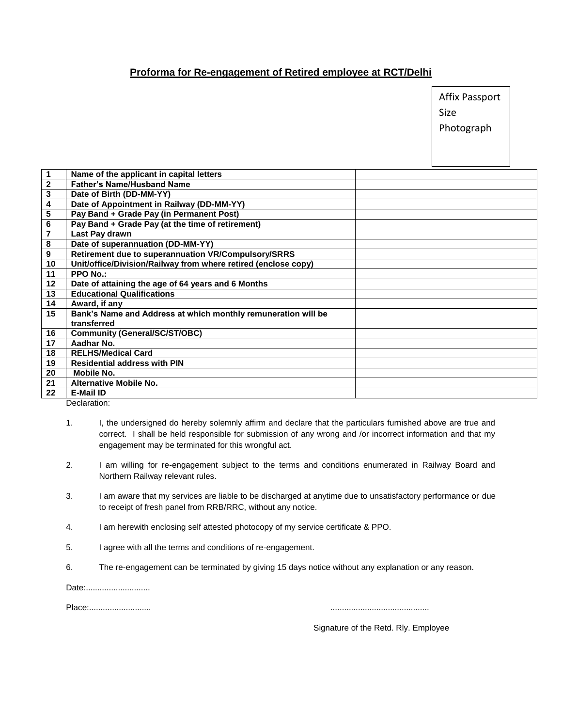#### **Proforma for Re-engagement of Retired employee at RCT/Delhi**

| Affix Passport |
|----------------|
| Size           |
| Photograph     |

| $\mathbf{1}$            | Name of the applicant in capital letters                       |
|-------------------------|----------------------------------------------------------------|
| $\boldsymbol{2}$        | <b>Father's Name/Husband Name</b>                              |
| 3                       | Date of Birth (DD-MM-YY)                                       |
| 4                       | Date of Appointment in Railway (DD-MM-YY)                      |
| $\overline{\mathbf{5}}$ | Pay Band + Grade Pay (in Permanent Post)                       |
| 6                       | Pay Band + Grade Pay (at the time of retirement)               |
| 7                       | Last Pay drawn                                                 |
| 8                       | Date of superannuation (DD-MM-YY)                              |
| 9                       | Retirement due to superannuation VR/Compulsory/SRRS            |
| 10                      | Unit/office/Division/Railway from where retired (enclose copy) |
| 11                      | <b>PPO No.:</b>                                                |
| 12 <sub>2</sub>         | Date of attaining the age of 64 years and 6 Months             |
| 13                      | <b>Educational Qualifications</b>                              |
| 14                      | Award, if any                                                  |
| 15                      | Bank's Name and Address at which monthly remuneration will be  |
|                         | transferred                                                    |
| 16                      | <b>Community (General/SC/ST/OBC)</b>                           |
| 17                      | Aadhar No.                                                     |
| 18                      | <b>RELHS/Medical Card</b>                                      |
| 19                      | <b>Residential address with PIN</b>                            |
| 20                      | Mobile No.                                                     |
| 21                      | <b>Alternative Mobile No.</b>                                  |
| 22                      | <b>E-Mail ID</b>                                               |
|                         | .                                                              |

Declaration:

- 1. I, the undersigned do hereby solemnly affirm and declare that the particulars furnished above are true and correct. I shall be held responsible for submission of any wrong and /or incorrect information and that my engagement may be terminated for this wrongful act.
- 2. I am willing for re-engagement subject to the terms and conditions enumerated in Railway Board and Northern Railway relevant rules.
- 3. I am aware that my services are liable to be discharged at anytime due to unsatisfactory performance or due to receipt of fresh panel from RRB/RRC, without any notice.
- 4. I am herewith enclosing self attested photocopy of my service certificate & PPO.
- 5. I agree with all the terms and conditions of re-engagement.
- 6. The re-engagement can be terminated by giving 15 days notice without any explanation or any reason.

Date:..............................

Place:........................... ...........................................

Signature of the Retd. Rly. Employee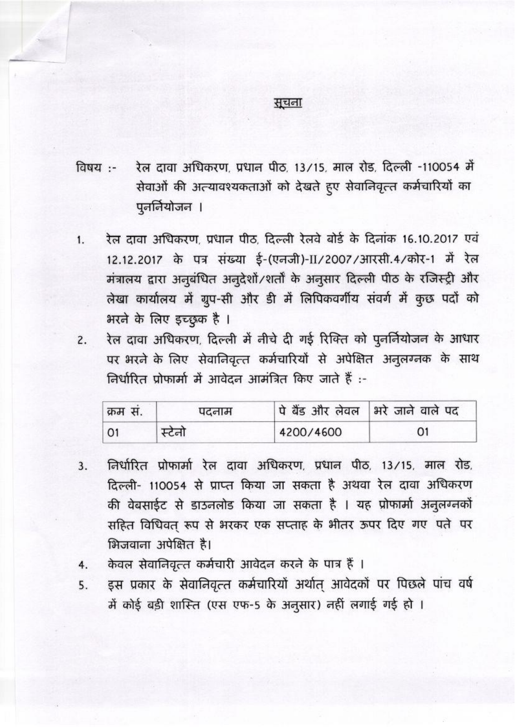### सूचना

- रेल दावा अधिकरण, प्रधान पीठ, 13/15, माल रोड, दिल्ली -110054 में विषय :-सेवाओं की अत्यावश्यकताओं को देखते हुए सेवानिवृत्त कर्मचारियों का पूनर्नियोजन ।
- रेल दावा अधिकरण, प्रधान पीठ, दिल्ली रेलवे बोर्ड के दिनांक 16.10.2017 एवं  $1.$ 12.12.2017 के पत्र संख्या ई-(एनजी)-II/2007/आरसी.4/कोर-1 में रेल मंत्रालय द्वारा अनुबंधित अनुदेशों/शर्तों के अनुसार दिल्ली पीठ के रजिस्ट्री और लेखा कार्यालय में ग्रुप-सी और डी में लिपिकवर्गीय संवर्ग में कुछ पदों को भरने के लिए इच्छुक है ।
- रेल दावा अधिकरण, दिल्ली में नीचे दी गई रिक्ति को पुनर्नियोजन के आधार  $2.$ पर भरने के लिए सेवानिवृत्त कर्मचारियों से अपेक्षित अनुलग्नक के साथ निर्धारित प्रोफार्मा में आवेदन आमंत्रित किए जाते हैं :-

| 'क्रम स. | पदनाम |           | पे बैंड और लेवल   भरे जाने वाले पद |
|----------|-------|-----------|------------------------------------|
|          | स्टना | 4200/4600 | 01                                 |

- निर्धारित प्रोफार्मा रेल दावा अधिकरण, प्रधान पीठ, 13/15, माल रोड,  $3.$ दिल्ली- 110054 से प्राप्त किया जा सकता है अथवा रेल दावा अधिकरण की वेबसाईट से डाउनलोड किया जा सकता है । यह प्रोफार्मा अनुलग्नकों सहित विधिवत् रूप से भरकर एक सप्ताह के भीतर ऊपर दिए गए पते पर भिजवाना अपेक्षित है।
- केवल सेवानिवृत्त कर्मचारी आवेदन करने के पात्र हैं ।  $4.$
- इस प्रकार के सेवानिवृत्त कर्मचारियों अर्थात् आवेदकों पर पिछले पांच वर्ष 5. में कोई बड़ी शास्ति (एस एफ-5 के अनुसार) नहीं लगाई गई हो ।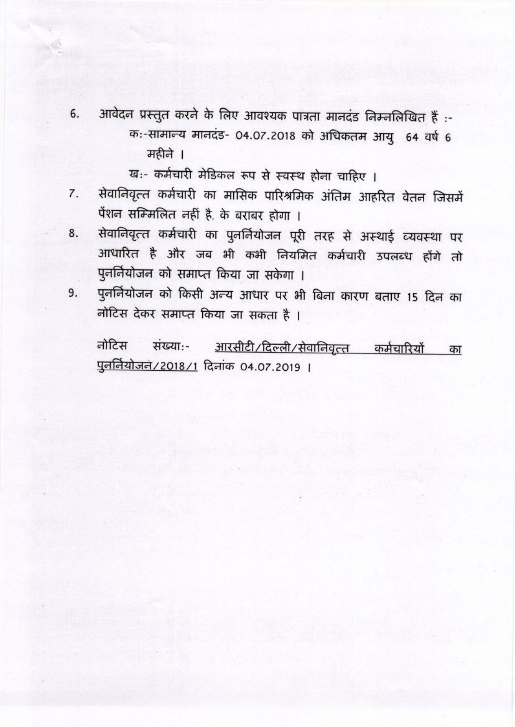- आवेदन प्रस्तुत करने के लिए आवश्यक पात्रता मानदंड निम्नलिखित हैं :-6. क:-सामान्य मानदंड- 04.07.2018 को अधिकतम आयु 64 वर्ष 6 महीने ।
	- ख:- कर्मचारी मेडिकल रूप से स्वस्थ होना चाहिए ।
- सेवानिवृत्त कर्मचारी का मासिक पारिश्रमिक अंतिम आहरित वेतन जिसमें 7. पेंशन सम्मिलित नहीं है, के बराबर होगा ।
- सेवानिवृत्त कर्मचारी का पुनर्नियोजन पूरी तरह से अस्थाई व्यवस्था पर 8. आधारित है और जब भी कभी नियमित कर्मचारी उपलब्ध होंगे तो पुनर्नियोजन को समाप्त किया जा सकेगा ।
- पुनर्नियोजन को किसी अन्य आधार पर भी बिना कारण बताए 15 दिन का 9. नोटिस देकर समाप्त किया जा सकता है।

आरसीटी/दिल्ली/सेवानिवृत्त कर्मचारियों नोटिस संख्या:-का <u>पुनर्नियोजनं/2018/1</u> दिनांक 04.07.2019 ।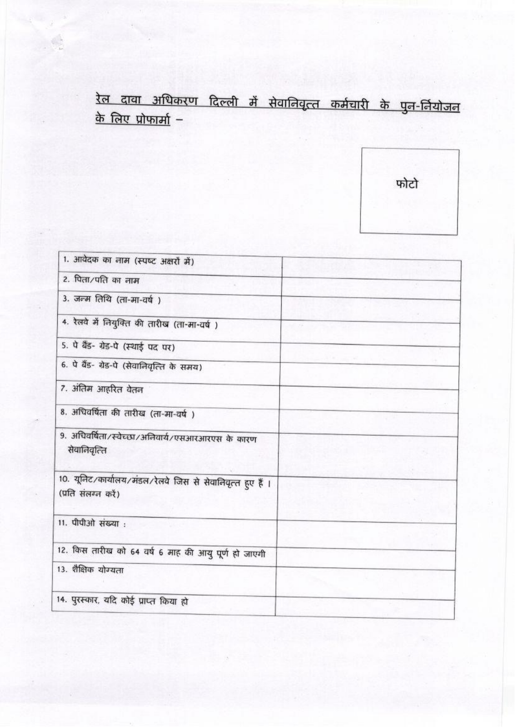# <u>रेल दावा अधिकरण दिल्ली में सेवानिवृत्त कर्मचारी के पुन-र्नियोजन</u> <u>के लिए प्रोफार्मा</u> –

फोटो

| 1. आवेदक का नाम (स्पष्ट अक्षरों में)                                              |  |
|-----------------------------------------------------------------------------------|--|
|                                                                                   |  |
| 2. पिता/पति का नाम                                                                |  |
| 3. जन्म तिथि (ता-मा-वर्ष)                                                         |  |
|                                                                                   |  |
| 4. रेलवे में नियुक्ति की तारीख (ता-मा-वर्ष)                                       |  |
| 5. पे बैंड- ग्रेड-पे (स्थाई पद पर)                                                |  |
| 6. पे बैंड- ग्रेड-पे (सेवानिवृत्ति के समय)                                        |  |
| 7. अंतिम आहरित वेतन                                                               |  |
| 8. अधिवर्षिता की तारीख (ता-मा-वर्ष )                                              |  |
| 9. अधिवर्षिता/स्वेच्छा/अनिवार्य/एसआरआरएस के कारण<br>सेवानिवृत्ति                  |  |
| 10. यूनिट/कार्यालय/मंडल/रेलवे जिस से सेवानिवृत्त हुए हैं ।<br>(प्रति संलग्न करें) |  |
| 11. पीपीओ संख्या:                                                                 |  |
| 12. किस तारीख को 64 वर्ष 6 माह की आयु पूर्ण हो जाएगी                              |  |
| 13. शैक्षिक योग्यता                                                               |  |
| 14. पुरस्कार, यदि कोई प्राप्त किया हो                                             |  |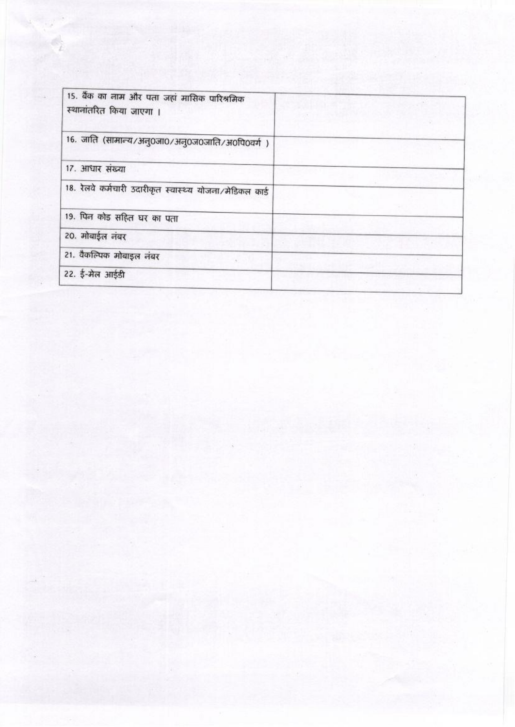| 15. बैंक का नाम और पता जहां मासिक पारिश्रमिक<br>स्थानांतरित किया जाएगा । |  |  |
|--------------------------------------------------------------------------|--|--|
| 16. जाति (सामान्य/अनु0जा0/अनु0ज0जाति/अ0पि0वर्ग)                          |  |  |
| 17. आधार संख्या                                                          |  |  |
| 18. रेलवे कर्मचारी उदारीकृत स्वास्थ्य योजना/मेडिकल कार्ड                 |  |  |
| 19. पिन कोड सहित घर का पता                                               |  |  |
| 20. मोबाईल नंबर                                                          |  |  |
| 21. वैकल्पिक मोबाइल नंबर                                                 |  |  |
| 22. ई-मेल आईडी                                                           |  |  |